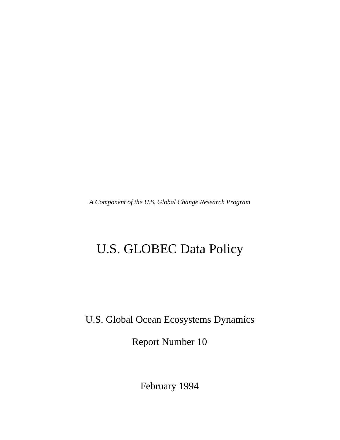*A Component of the U.S. Global Change Research Program*

# U.S. GLOBEC Data Policy

U.S. Global Ocean Ecosystems Dynamics

Report Number 10

February 1994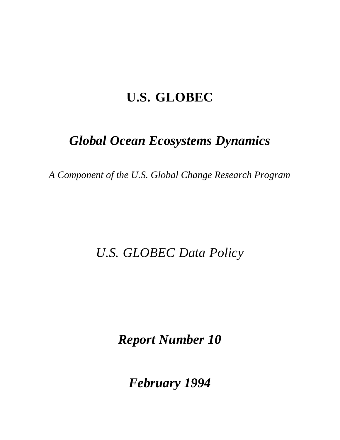# **U.S. GLOBEC**

# *Global Ocean Ecosystems Dynamics*

*A Component of the U.S. Global Change Research Program*

# *U.S. GLOBEC Data Policy*

*Report Number 10*

*February 1994*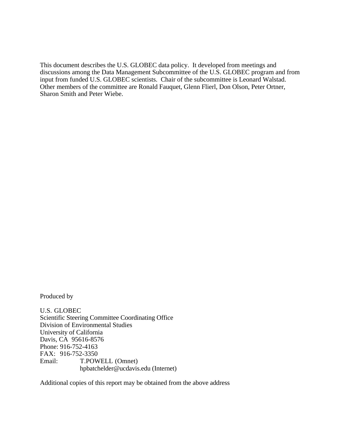This document describes the U.S. GLOBEC data policy. It developed from meetings and discussions among the Data Management Subcommittee of the U.S. GLOBEC program and from input from funded U.S. GLOBEC scientists. Chair of the subcommittee is Leonard Walstad. Other members of the committee are Ronald Fauquet, Glenn Flierl, Don Olson, Peter Ortner, Sharon Smith and Peter Wiebe.

Produced by

U.S. GLOBEC Scientific Steering Committee Coordinating Office Division of Environmental Studies University of California Davis, CA 95616-8576 Phone: 916-752-4163 FAX: 916-752-3350 Email: T.POWELL (Omnet) hpbatchelder@ucdavis.edu (Internet)

Additional copies of this report may be obtained from the above address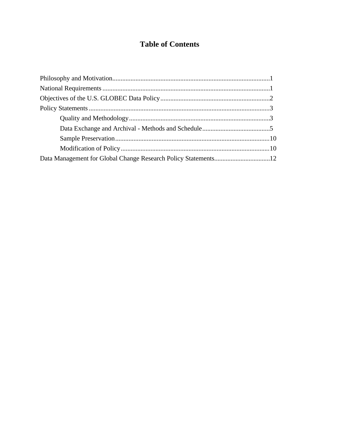## **Table of Contents**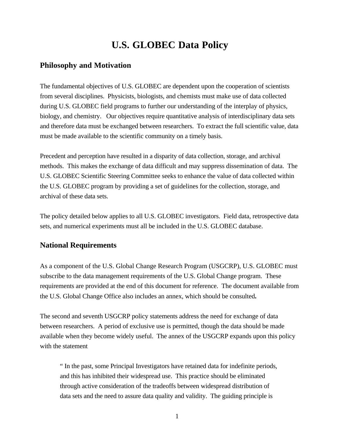# **U.S. GLOBEC Data Policy**

## **Philosophy and Motivation**

The fundamental objectives of U.S. GLOBEC are dependent upon the cooperation of scientists from several disciplines. Physicists, biologists, and chemists must make use of data collected during U.S. GLOBEC field programs to further our understanding of the interplay of physics, biology, and chemistry. Our objectives require quantitative analysis of interdisciplinary data sets and therefore data must be exchanged between researchers. To extract the full scientific value, data must be made available to the scientific community on a timely basis.

Precedent and perception have resulted in a disparity of data collection, storage, and archival methods. This makes the exchange of data difficult and may suppress dissemination of data. The U.S. GLOBEC Scientific Steering Committee seeks to enhance the value of data collected within the U.S. GLOBEC program by providing a set of guidelines for the collection, storage, and archival of these data sets.

The policy detailed below applies to all U.S. GLOBEC investigators. Field data, retrospective data sets, and numerical experiments must all be included in the U.S. GLOBEC database.

### **National Requirements**

As a component of the U.S. Global Change Research Program (USGCRP), U.S. GLOBEC must subscribe to the data management requirements of the U.S. Global Change program. These requirements are provided at the end of this document for reference. The document available from the U.S. Global Change Office also includes an annex, which should be consulted**.**

The second and seventh USGCRP policy statements address the need for exchange of data between researchers. A period of exclusive use is permitted, though the data should be made available when they become widely useful. The annex of the USGCRP expands upon this policy with the statement

" In the past, some Principal Investigators have retained data for indefinite periods, and this has inhibited their widespread use. This practice should be eliminated through active consideration of the tradeoffs between widespread distribution of data sets and the need to assure data quality and validity. The guiding principle is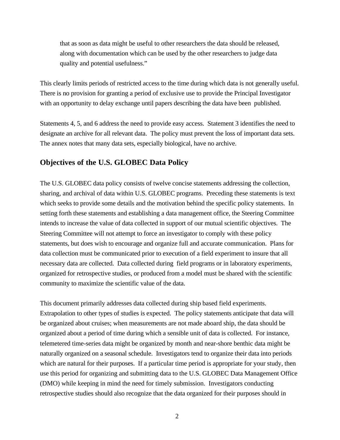that as soon as data might be useful to other researchers the data should be released, along with documentation which can be used by the other researchers to judge data quality and potential usefulness."

This clearly limits periods of restricted access to the time during which data is not generally useful. There is no provision for granting a period of exclusive use to provide the Principal Investigator with an opportunity to delay exchange until papers describing the data have been published.

Statements 4, 5, and 6 address the need to provide easy access. Statement 3 identifies the need to designate an archive for all relevant data. The policy must prevent the loss of important data sets. The annex notes that many data sets, especially biological, have no archive.

### **Objectives of the U.S. GLOBEC Data Policy**

The U.S. GLOBEC data policy consists of twelve concise statements addressing the collection, sharing, and archival of data within U.S. GLOBEC programs. Preceding these statements is text which seeks to provide some details and the motivation behind the specific policy statements. In setting forth these statements and establishing a data management office, the Steering Committee intends to increase the value of data collected in support of our mutual scientific objectives. The Steering Committee will not attempt to force an investigator to comply with these policy statements, but does wish to encourage and organize full and accurate communication. Plans for data collection must be communicated prior to execution of a field experiment to insure that all necessary data are collected. Data collected during field programs or in laboratory experiments, organized for retrospective studies, or produced from a model must be shared with the scientific community to maximize the scientific value of the data.

This document primarily addresses data collected during ship based field experiments. Extrapolation to other types of studies is expected. The policy statements anticipate that data will be organized about cruises; when measurements are not made aboard ship, the data should be organized about a period of time during which a sensible unit of data is collected. For instance, telemetered time-series data might be organized by month and near-shore benthic data might be naturally organized on a seasonal schedule. Investigators tend to organize their data into periods which are natural for their purposes. If a particular time period is appropriate for your study, then use this period for organizing and submitting data to the U.S. GLOBEC Data Management Office (DMO) while keeping in mind the need for timely submission. Investigators conducting retrospective studies should also recognize that the data organized for their purposes should in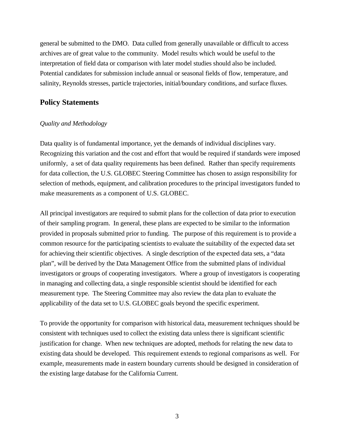general be submitted to the DMO. Data culled from generally unavailable or difficult to access archives are of great value to the community. Model results which would be useful to the interpretation of field data or comparison with later model studies should also be included. Potential candidates for submission include annual or seasonal fields of flow, temperature, and salinity, Reynolds stresses, particle trajectories, initial/boundary conditions, and surface fluxes.

### **Policy Statements**

#### *Quality and Methodology*

Data quality is of fundamental importance, yet the demands of individual disciplines vary. Recognizing this variation and the cost and effort that would be required if standards were imposed uniformly, a set of data quality requirements has been defined. Rather than specify requirements for data collection, the U.S. GLOBEC Steering Committee has chosen to assign responsibility for selection of methods, equipment, and calibration procedures to the principal investigators funded to make measurements as a component of U.S. GLOBEC.

All principal investigators are required to submit plans for the collection of data prior to execution of their sampling program. In general, these plans are expected to be similar to the information provided in proposals submitted prior to funding. The purpose of this requirement is to provide a common resource for the participating scientists to evaluate the suitability of the expected data set for achieving their scientific objectives. A single description of the expected data sets, a "data plan", will be derived by the Data Management Office from the submitted plans of individual investigators or groups of cooperating investigators. Where a group of investigators is cooperating in managing and collecting data, a single responsible scientist should be identified for each measurement type. The Steering Committee may also review the data plan to evaluate the applicability of the data set to U.S. GLOBEC goals beyond the specific experiment.

To provide the opportunity for comparison with historical data, measurement techniques should be consistent with techniques used to collect the existing data unless there is significant scientific justification for change. When new techniques are adopted, methods for relating the new data to existing data should be developed. This requirement extends to regional comparisons as well. For example, measurements made in eastern boundary currents should be designed in consideration of the existing large database for the California Current.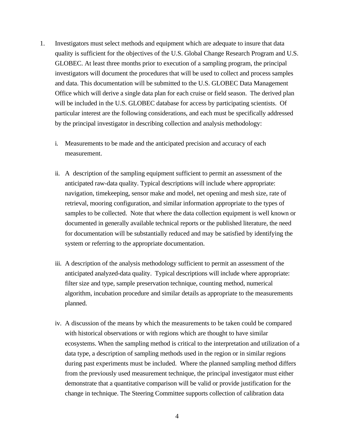- 1. Investigators must select methods and equipment which are adequate to insure that data quality is sufficient for the objectives of the U.S. Global Change Research Program and U.S. GLOBEC. At least three months prior to execution of a sampling program, the principal investigators will document the procedures that will be used to collect and process samples and data. This documentation will be submitted to the U.S. GLOBEC Data Management Office which will derive a single data plan for each cruise or field season. The derived plan will be included in the U.S. GLOBEC database for access by participating scientists. Of particular interest are the following considerations, and each must be specifically addressed by the principal investigator in describing collection and analysis methodology:
	- i. Measurements to be made and the anticipated precision and accuracy of each measurement.
	- ii. A description of the sampling equipment sufficient to permit an assessment of the anticipated raw-data quality. Typical descriptions will include where appropriate: navigation, timekeeping, sensor make and model, net opening and mesh size, rate of retrieval, mooring configuration, and similar information appropriate to the types of samples to be collected. Note that where the data collection equipment is well known or documented in generally available technical reports or the published literature, the need for documentation will be substantially reduced and may be satisfied by identifying the system or referring to the appropriate documentation.
	- iii. A description of the analysis methodology sufficient to permit an assessment of the anticipated analyzed-data quality. Typical descriptions will include where appropriate: filter size and type, sample preservation technique, counting method, numerical algorithm, incubation procedure and similar details as appropriate to the measurements planned.
	- iv. A discussion of the means by which the measurements to be taken could be compared with historical observations or with regions which are thought to have similar ecosystems. When the sampling method is critical to the interpretation and utilization of a data type, a description of sampling methods used in the region or in similar regions during past experiments must be included. Where the planned sampling method differs from the previously used measurement technique, the principal investigator must either demonstrate that a quantitative comparison will be valid or provide justification for the change in technique. The Steering Committee supports collection of calibration data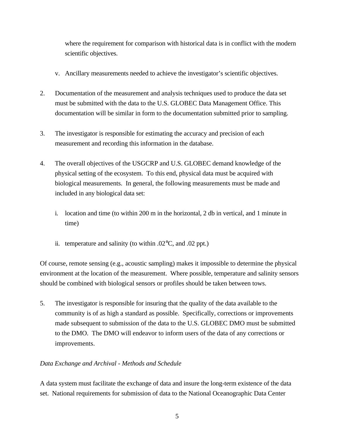where the requirement for comparison with historical data is in conflict with the modern scientific objectives.

- v. Ancillary measurements needed to achieve the investigator's scientific objectives.
- 2. Documentation of the measurement and analysis techniques used to produce the data set must be submitted with the data to the U.S. GLOBEC Data Management Office. This documentation will be similar in form to the documentation submitted prior to sampling.
- 3. The investigator is responsible for estimating the accuracy and precision of each measurement and recording this information in the database.
- 4. The overall objectives of the USGCRP and U.S. GLOBEC demand knowledge of the physical setting of the ecosystem. To this end, physical data must be acquired with biological measurements. In general, the following measurements must be made and included in any biological data set:
	- i. location and time (to within 200 m in the horizontal, 2 db in vertical, and 1 minute in time)
	- ii. temperature and salinity (to within  $.02^{\circ}$ C, and  $.02$  ppt.)

Of course, remote sensing (e.g., acoustic sampling) makes it impossible to determine the physical environment at the location of the measurement. Where possible, temperature and salinity sensors should be combined with biological sensors or profiles should be taken between tows.

5. The investigator is responsible for insuring that the quality of the data available to the community is of as high a standard as possible. Specifically, corrections or improvements made subsequent to submission of the data to the U.S. GLOBEC DMO must be submitted to the DMO. The DMO will endeavor to inform users of the data of any corrections or improvements.

#### *Data Exchange and Archival - Methods and Schedule*

A data system must facilitate the exchange of data and insure the long-term existence of the data set. National requirements for submission of data to the National Oceanographic Data Center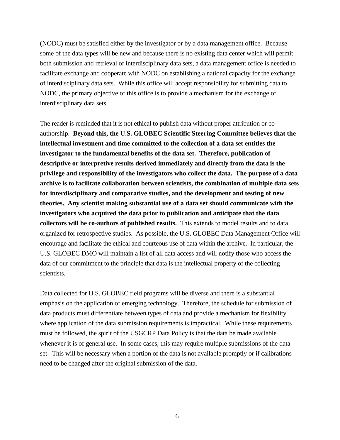(NODC) must be satisfied either by the investigator or by a data management office. Because some of the data types will be new and because there is no existing data center which will permit both submission and retrieval of interdisciplinary data sets, a data management office is needed to facilitate exchange and cooperate with NODC on establishing a national capacity for the exchange of interdisciplinary data sets. While this office will accept responsibility for submitting data to NODC, the primary objective of this office is to provide a mechanism for the exchange of interdisciplinary data sets.

The reader is reminded that it is not ethical to publish data without proper attribution or coauthorship. **Beyond this, the U.S. GLOBEC Scientific Steering Committee believes that the intellectual investment and time committed to the collection of a data set entitles the investigator to the fundamental benefits of the data set. Therefore, publication of descriptive or interpretive results derived immediately and directly from the data is the privilege and responsibility of the investigators who collect the data. The purpose of a data archive is to facilitate collaboration between scientists, the combination of multiple data sets for interdisciplinary and comparative studies, and the development and testing of new theories. Any scientist making substantial use of a data set should communicate with the investigators who acquired the data prior to publication and anticipate that the data collectors will be co-authors of published results.** This extends to model results and to data organized for retrospective studies. As possible, the U.S. GLOBEC Data Management Office will encourage and facilitate the ethical and courteous use of data within the archive. In particular, the U.S. GLOBEC DMO will maintain a list of all data access and will notify those who access the data of our commitment to the principle that data is the intellectual property of the collecting scientists.

Data collected for U.S. GLOBEC field programs will be diverse and there is a substantial emphasis on the application of emerging technology. Therefore, the schedule for submission of data products must differentiate between types of data and provide a mechanism for flexibility where application of the data submission requirements is impractical. While these requirements must be followed, the spirit of the USGCRP Data Policy is that the data be made available whenever it is of general use. In some cases, this may require multiple submissions of the data set. This will be necessary when a portion of the data is not available promptly or if calibrations need to be changed after the original submission of the data.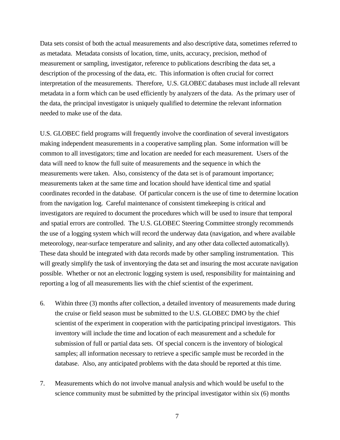Data sets consist of both the actual measurements and also descriptive data, sometimes referred to as metadata. Metadata consists of location, time, units, accuracy, precision, method of measurement or sampling, investigator, reference to publications describing the data set, a description of the processing of the data, etc. This information is often crucial for correct interpretation of the measurements. Therefore, U.S. GLOBEC databases must include all relevant metadata in a form which can be used efficiently by analyzers of the data. As the primary user of the data, the principal investigator is uniquely qualified to determine the relevant information needed to make use of the data.

U.S. GLOBEC field programs will frequently involve the coordination of several investigators making independent measurements in a cooperative sampling plan. Some information will be common to all investigators; time and location are needed for each measurement. Users of the data will need to know the full suite of measurements and the sequence in which the measurements were taken. Also, consistency of the data set is of paramount importance; measurements taken at the same time and location should have identical time and spatial coordinates recorded in the database. Of particular concern is the use of time to determine location from the navigation log. Careful maintenance of consistent timekeeping is critical and investigators are required to document the procedures which will be used to insure that temporal and spatial errors are controlled. The U.S. GLOBEC Steering Committee strongly recommends the use of a logging system which will record the underway data (navigation, and where available meteorology, near-surface temperature and salinity, and any other data collected automatically). These data should be integrated with data records made by other sampling instrumentation. This will greatly simplify the task of inventorying the data set and insuring the most accurate navigation possible. Whether or not an electronic logging system is used, responsibility for maintaining and reporting a log of all measurements lies with the chief scientist of the experiment.

- 6. Within three (3) months after collection, a detailed inventory of measurements made during the cruise or field season must be submitted to the U.S. GLOBEC DMO by the chief scientist of the experiment in cooperation with the participating principal investigators. This inventory will include the time and location of each measurement and a schedule for submission of full or partial data sets. Of special concern is the inventory of biological samples; all information necessary to retrieve a specific sample must be recorded in the database. Also, any anticipated problems with the data should be reported at this time.
- 7. Measurements which do not involve manual analysis and which would be useful to the science community must be submitted by the principal investigator within six (6) months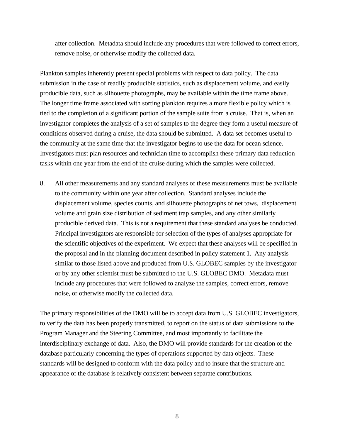after collection. Metadata should include any procedures that were followed to correct errors, remove noise, or otherwise modify the collected data.

Plankton samples inherently present special problems with respect to data policy. The data submission in the case of readily producible statistics, such as displacement volume, and easily producible data, such as silhouette photographs, may be available within the time frame above. The longer time frame associated with sorting plankton requires a more flexible policy which is tied to the completion of a significant portion of the sample suite from a cruise. That is, when an investigator completes the analysis of a set of samples to the degree they form a useful measure of conditions observed during a cruise, the data should be submitted. A data set becomes useful to the community at the same time that the investigator begins to use the data for ocean science. Investigators must plan resources and technician time to accomplish these primary data reduction tasks within one year from the end of the cruise during which the samples were collected.

8. All other measurements and any standard analyses of these measurements must be available to the community within one year after collection. Standard analyses include the displacement volume, species counts, and silhouette photographs of net tows, displacement volume and grain size distribution of sediment trap samples, and any other similarly producible derived data. This is not a requirement that these standard analyses be conducted. Principal investigators are responsible for selection of the types of analyses appropriate for the scientific objectives of the experiment. We expect that these analyses will be specified in the proposal and in the planning document described in policy statement 1. Any analysis similar to those listed above and produced from U.S. GLOBEC samples by the investigator or by any other scientist must be submitted to the U.S. GLOBEC DMO. Metadata must include any procedures that were followed to analyze the samples, correct errors, remove noise, or otherwise modify the collected data.

The primary responsibilities of the DMO will be to accept data from U.S. GLOBEC investigators, to verify the data has been properly transmitted, to report on the status of data submissions to the Program Manager and the Steering Committee, and most importantly to facilitate the interdisciplinary exchange of data. Also, the DMO will provide standards for the creation of the database particularly concerning the types of operations supported by data objects. These standards will be designed to conform with the data policy and to insure that the structure and appearance of the database is relatively consistent between separate contributions.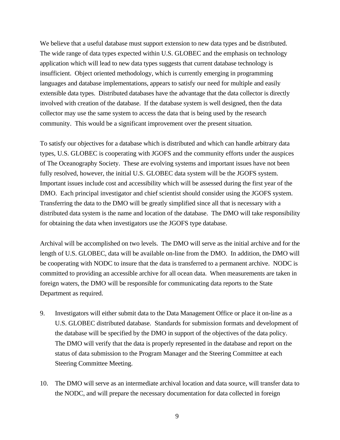We believe that a useful database must support extension to new data types and be distributed. The wide range of data types expected within U.S. GLOBEC and the emphasis on technology application which will lead to new data types suggests that current database technology is insufficient. Object oriented methodology, which is currently emerging in programming languages and database implementations, appears to satisfy our need for multiple and easily extensible data types. Distributed databases have the advantage that the data collector is directly involved with creation of the database. If the database system is well designed, then the data collector may use the same system to access the data that is being used by the research community. This would be a significant improvement over the present situation.

To satisfy our objectives for a database which is distributed and which can handle arbitrary data types, U.S. GLOBEC is cooperating with JGOFS and the community efforts under the auspices of The Oceanography Society. These are evolving systems and important issues have not been fully resolved, however, the initial U.S. GLOBEC data system will be the JGOFS system. Important issues include cost and accessibility which will be assessed during the first year of the DMO. Each principal investigator and chief scientist should consider using the JGOFS system. Transferring the data to the DMO will be greatly simplified since all that is necessary with a distributed data system is the name and location of the database. The DMO will take responsibility for obtaining the data when investigators use the JGOFS type database.

Archival will be accomplished on two levels. The DMO will serve as the initial archive and for the length of U.S. GLOBEC, data will be available on-line from the DMO. In addition, the DMO will be cooperating with NODC to insure that the data is transferred to a permanent archive. NODC is committed to providing an accessible archive for all ocean data. When measurements are taken in foreign waters, the DMO will be responsible for communicating data reports to the State Department as required.

- 9. Investigators will either submit data to the Data Management Office or place it on-line as a U.S. GLOBEC distributed database. Standards for submission formats and development of the database will be specified by the DMO in support of the objectives of the data policy. The DMO will verify that the data is properly represented in the database and report on the status of data submission to the Program Manager and the Steering Committee at each Steering Committee Meeting.
- 10. The DMO will serve as an intermediate archival location and data source, will transfer data to the NODC, and will prepare the necessary documentation for data collected in foreign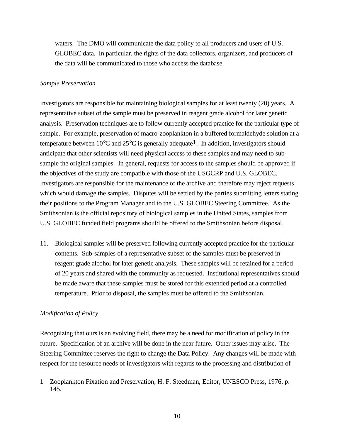waters. The DMO will communicate the data policy to all producers and users of U.S. GLOBEC data. In particular, the rights of the data collectors, organizers, and producers of the data will be communicated to those who access the database.

#### *Sample Preservation*

Investigators are responsible for maintaining biological samples for at least twenty (20) years. A representative subset of the sample must be preserved in reagent grade alcohol for later genetic analysis. Preservation techniques are to follow currently accepted practice for the particular type of sample. For example, preservation of macro-zooplankton in a buffered formaldehyde solution at a temperature between  $10^{\circ}$ C and  $25^{\circ}$ C is generally adequate<sup>1</sup>. In addition, investigators should anticipate that other scientists will need physical access to these samples and may need to subsample the original samples. In general, requests for access to the samples should be approved if the objectives of the study are compatible with those of the USGCRP and U.S. GLOBEC. Investigators are responsible for the maintenance of the archive and therefore may reject requests which would damage the samples. Disputes will be settled by the parties submitting letters stating their positions to the Program Manager and to the U.S. GLOBEC Steering Committee. As the Smithsonian is the official repository of biological samples in the United States, samples from U.S. GLOBEC funded field programs should be offered to the Smithsonian before disposal.

11. Biological samples will be preserved following currently accepted practice for the particular contents. Sub-samples of a representative subset of the samples must be preserved in reagent grade alcohol for later genetic analysis. These samples will be retained for a period of 20 years and shared with the community as requested. Institutional representatives should be made aware that these samples must be stored for this extended period at a controlled temperature. Prior to disposal, the samples must be offered to the Smithsonian.

#### *Modification of Policy*

Recognizing that ours is an evolving field, there may be a need for modification of policy in the future. Specification of an archive will be done in the near future. Other issues may arise. The Steering Committee reserves the right to change the Data Policy. Any changes will be made with respect for the resource needs of investigators with regards to the processing and distribution of

<sup>1</sup> Zooplankton Fixation and Preservation, H. F. Steedman, Editor, UNESCO Press, 1976, p. 145.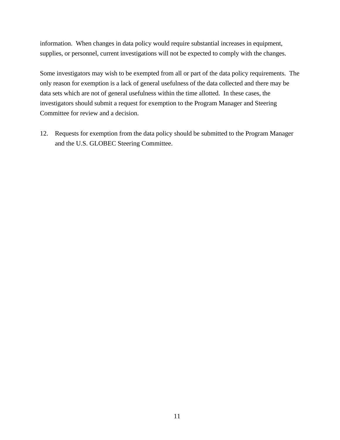information. When changes in data policy would require substantial increases in equipment, supplies, or personnel, current investigations will not be expected to comply with the changes.

Some investigators may wish to be exempted from all or part of the data policy requirements. The only reason for exemption is a lack of general usefulness of the data collected and there may be data sets which are not of general usefulness within the time allotted. In these cases, the investigators should submit a request for exemption to the Program Manager and Steering Committee for review and a decision.

12. Requests for exemption from the data policy should be submitted to the Program Manager and the U.S. GLOBEC Steering Committee.